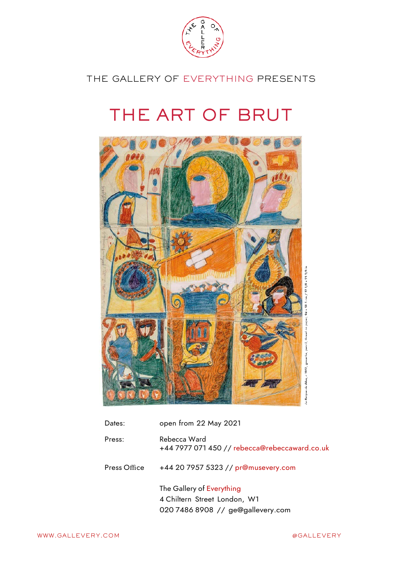

THE GALLERY OF EVERYTHING PRESENTS

# THE ART OF BRUT



| Dates:       | open from 22 May 2021                                                                          |
|--------------|------------------------------------------------------------------------------------------------|
| Press:       | Rebecca Ward<br>+44 7977 071 450 // rebecca@rebeccaward.co.uk                                  |
| Press Office | +44 20 7957 5323 // pr@musevery.com                                                            |
|              | The Gallery of Everything<br>4 Chiltern Street London, W1<br>020 7486 8908 // ge@gallevery.com |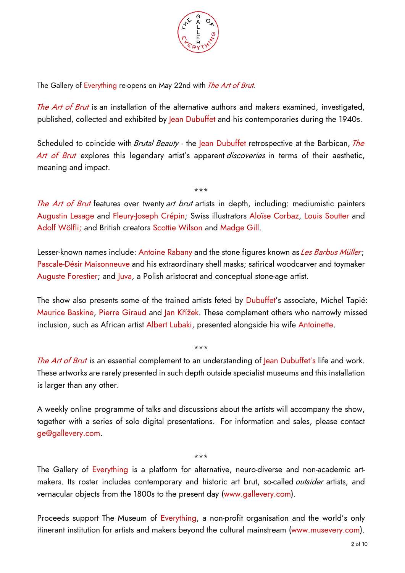

The Gallery of Everything re-opens on May 22nd with The Art of Brut.

The Art of Brut is an installation of the alternative authors and makers examined, investigated, published, collected and exhibited by lean Dubuffet and his contemporaries during the 1940s.

Scheduled to coincide with *Brutal Beauty* - the Jean Dubuffet retrospective at the Barbican, *The* Art of Brut explores this legendary artist's apparent *discoveries* in terms of their aesthetic, meaning and impact.

The Art of Brut features over twenty art brut artists in depth, including: mediumistic painters Augustin Lesage and Fleury-Joseph Crépin; Swiss illustrators Aloïse Corbaz, Louis Soutter and Adolf Wölfli; and British creators Scottie Wilson and Madge Gill.

\*\*\*

Lesser-known names include: Antoine Rabany and the stone figures known as Les Barbus Müller; Pascale-Désir Maisonneuve and his extraordinary shell masks; satirical woodcarver and toymaker Auguste Forestier; and Juva, a Polish aristocrat and conceptual stone-age artist.

The show also presents some of the trained artists feted by Dubuffet's associate, Michel Tapié: Maurice Baskine, Pierre Giraud and Jan Křížek. These complement others who narrowly missed inclusion, such as African artist Albert Lubaki, presented alongside his wife Antoinette.

The Art of Brut is an essential complement to an understanding of Jean Dubuffet's life and work. These artworks are rarely presented in such depth outside specialist museums and this installation is larger than any other.

\*\*\*

A weekly online programme of talks and discussions about the artists will accompany the show, together with a series of solo digital presentations. For information and sales, please contact ge@gallevery.com.

\*\*\*

The Gallery of Everything is a platform for alternative, neuro-diverse and non-academic artmakers. Its roster includes contemporary and historic art brut, so-called outsider artists, and vernacular objects from the 1800s to the present day (www.gallevery.com).

Proceeds support The Museum of Everything, a non-profit organisation and the world's only itinerant institution for artists and makers beyond the cultural mainstream (www.musevery.com).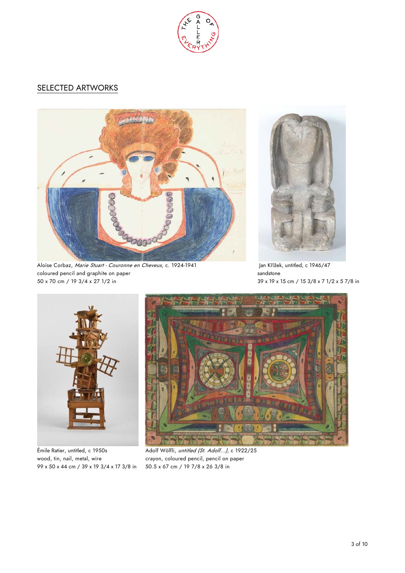

# SELECTED ARTWORKS



Aloïse Corbaz, Marie Stuart - Couronne en Cheveux, c. 1924-1941 Jan Křížek, untitled, c 1946/47 coloured pencil and graphite on paper sandstone sandstone sandstone 50 x 70 cm / 19 3/4 x 27 1/2 in 39 x 19 x 15 cm / 15 3/8 x 7 1/2 x 5 7/8 in





99 x 50 x 44 cm / 39 x 19 3/4 x 17 3/8 in 50.5 x 67 cm / 19 7/8 x 26 3/8 in



Émile Ratier, untitled, c 1950s<br>Adolf Wölfli, untitled (St. Adolf...), c 1922/25 wood, tin, nail, metal, wire crayon, coloured pencil, pencil on paper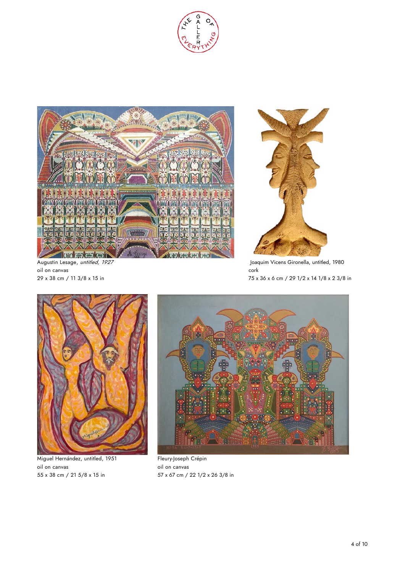



oil on canvas cork



Augustin Lesage, *untitled, 1927* The Constant Construction of the United, 1980 Joaquim Vicens Gironella, untitled, 1980 29 x 38 cm / 11 3/8 x 15 in 75 x 36 x 6 cm / 29 1/2 x 14 1/8 x 2 3/8 in



Miguel Hernández, untitled, 1951 Fleury-Joseph Crépin oil on canvas oil on canvas



55 x 38 cm / 21 5/8 x 15 in 57 x 67 cm / 22 1/2 x 26 3/8 in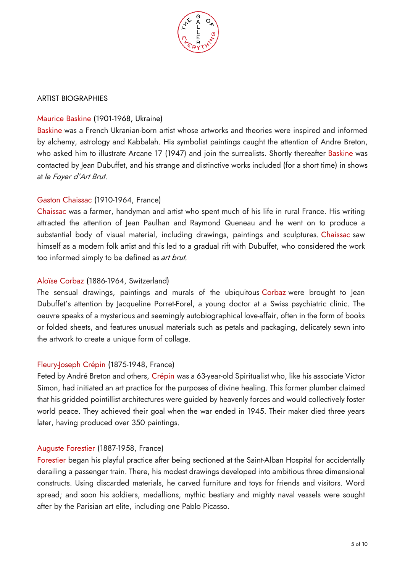

#### ARTIST BIOGRAPHIES

## Maurice Baskine (1901-1968, Ukraine)

Baskine was a French Ukranian-born artist whose artworks and theories were inspired and informed by alchemy, astrology and Kabbalah. His symbolist paintings caught the attention of Andre Breton, who asked him to illustrate Arcane 17 (1947) and join the surrealists. Shortly thereafter Baskine was contacted by Jean Dubuffet, and his strange and distinctive works included (for a short time) in shows at le Foyer d'Art Brut.

# Gaston Chaissac (1910-1964, France)

Chaissac was a farmer, handyman and artist who spent much of his life in rural France. His writing attracted the attention of Jean Paulhan and Raymond Queneau and he went on to produce a substantial body of visual material, including drawings, paintings and sculptures. Chaissac saw himself as a modern folk artist and this led to a gradual rift with Dubuffet, who considered the work too informed simply to be defined as *art brut.* 

# Aloïse Corbaz (1886-1964, Switzerland)

The sensual drawings, paintings and murals of the ubiquitous Corbaz were brought to Jean Dubuffet's attention by Jacqueline Porret-Forel, a young doctor at a Swiss psychiatric clinic. The oeuvre speaks of a mysterious and seemingly autobiographical love-affair, often in the form of books or folded sheets, and features unusual materials such as petals and packaging, delicately sewn into the artwork to create a unique form of collage.

### Fleury-Joseph Crépin (1875-1948, France)

Feted by André Breton and others, Crépin was a 63-year-old Spiritualist who, like his associate Victor Simon, had initiated an art practice for the purposes of divine healing. This former plumber claimed that his gridded pointillist architectures were guided by heavenly forces and would collectively foster world peace. They achieved their goal when the war ended in 1945. Their maker died three years later, having produced over 350 paintings.

### Auguste Forestier (1887-1958, France)

Forestier began his playful practice after being sectioned at the Saint-Alban Hospital for accidentally derailing a passenger train. There, his modest drawings developed into ambitious three dimensional constructs. Using discarded materials, he carved furniture and toys for friends and visitors. Word spread; and soon his soldiers, medallions, mythic bestiary and mighty naval vessels were sought after by the Parisian art elite, including one Pablo Picasso.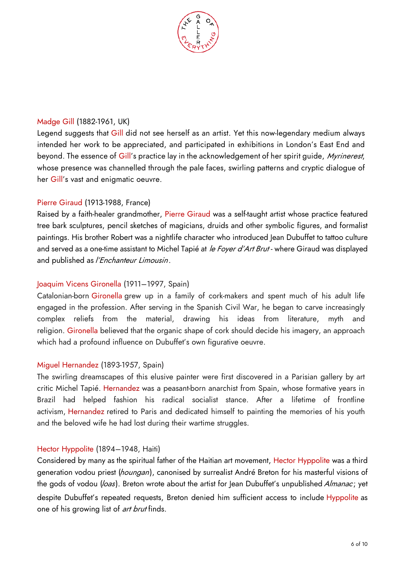

#### Madge Gill (1882-1961, UK)

Legend suggests that Gill did not see herself as an artist. Yet this now-legendary medium always intended her work to be appreciated, and participated in exhibitions in London's East End and beyond. The essence of Gill's practice lay in the acknowledgement of her spirit guide, Myrinerest, whose presence was channelled through the pale faces, swirling patterns and cryptic dialogue of her Gill's vast and enigmatic oeuvre.

#### Pierre Giraud (1913-1988, France)

Raised by a faith-healer grandmother, Pierre Giraud was a self-taught artist whose practice featured tree bark sculptures, pencil sketches of magicians, druids and other symbolic figures, and formalist paintings. His brother Robert was a nightlife character who introduced Jean Dubuffet to tattoo culture and served as a one-time assistant to Michel Tapié at le Foyer d'Art Brut - where Giraud was displayed and published as *l'Enchanteur Limousin*.

#### Joaquim Vicens Gironella (1911–1997, Spain)

Catalonian-born Gironella grew up in a family of cork-makers and spent much of his adult life engaged in the profession. After serving in the Spanish Civil War, he began to carve increasingly complex reliefs from the material, drawing his ideas from literature, myth and religion. Gironella believed that the organic shape of cork should decide his imagery, an approach which had a profound influence on Dubuffet's own figurative oeuvre.

#### Miguel Hernandez (1893-1957, Spain)

The swirling dreamscapes of this elusive painter were first discovered in a Parisian gallery by art critic Michel Tapié. Hernandez was a peasant-born anarchist from Spain, whose formative years in Brazil had helped fashion his radical socialist stance. After a lifetime of frontline activism, Hernandez retired to Paris and dedicated himself to painting the memories of his youth and the beloved wife he had lost during their wartime struggles.

#### Hector Hyppolite (1894–1948, Haiti)

Considered by many as the spiritual father of the Haitian art movement, Hector Hyppolite was a third generation vodou priest (houngan), canonised by surrealist André Breton for his masterful visions of the gods of vodou (loas). Breton wrote about the artist for Jean Dubuffet's unpublished Almanac; yet despite Dubuffet's repeated requests, Breton denied him sufficient access to include Hyppolite as one of his growing list of *art brut* finds.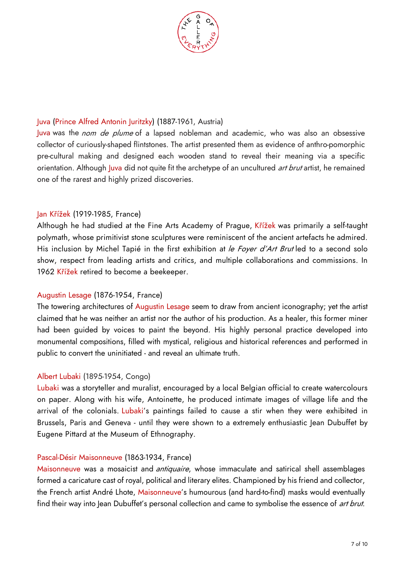

### Juva (Prince Alfred Antonin Juritzky) (1887-1961, Austria)

Juva was the *nom de plume* of a lapsed nobleman and academic, who was also an obsessive collector of curiously-shaped flintstones. The artist presented them as evidence of anthro-pomorphic pre-cultural making and designed each wooden stand to reveal their meaning via a specific orientation. Although Juva did not quite fit the archetype of an uncultured *art brut* artist, he remained one of the rarest and highly prized discoveries.

### Jan Křížek (1919-1985, France)

Although he had studied at the Fine Arts Academy of Prague, Křížek was primarily a self-taught polymath, whose primitivist stone sculptures were reminiscent of the ancient artefacts he admired. His inclusion by Michel Tapié in the first exhibition at le Foyer d'Art Brut led to a second solo show, respect from leading artists and critics, and multiple collaborations and commissions. In 1962 Křížek retired to become a beekeeper.

### Augustin Lesage (1876-1954, France)

The towering architectures of Augustin Lesage seem to draw from ancient iconography; yet the artist claimed that he was neither an artist nor the author of his production. As a healer, this former miner had been guided by voices to paint the beyond. His highly personal practice developed into monumental compositions, filled with mystical, religious and historical references and performed in public to convert the uninitiated - and reveal an ultimate truth.

#### Albert Lubaki (1895-1954, Congo)

Lubaki was a storyteller and muralist, encouraged by a local Belgian official to create watercolours on paper. Along with his wife, Antoinette, he produced intimate images of village life and the arrival of the colonials. Lubaki's paintings failed to cause a stir when they were exhibited in Brussels, Paris and Geneva - until they were shown to a extremely enthusiastic Jean Dubuffet by Eugene Pittard at the Museum of Ethnography.

#### Pascal-Désir Maisonneuve (1863-1934, France)

Maisonneuve was a mosaicist and *antiquaire*, whose immaculate and satirical shell assemblages formed a caricature cast of royal, political and literary elites. Championed by his friend and collector, the French artist André Lhote, Maisonneuve's humourous (and hard-to-find) masks would eventually find their way into Jean Dubuffet's personal collection and came to symbolise the essence of *art brut*.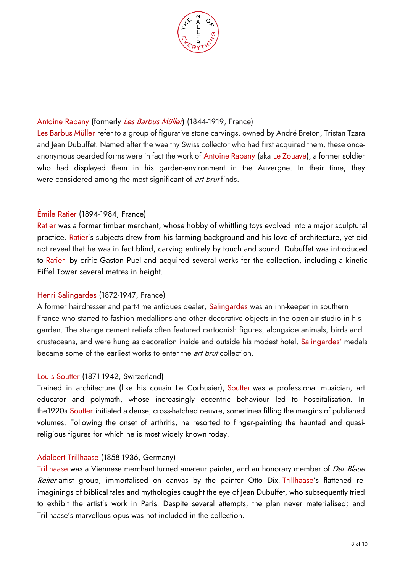

## Antoine Rabany (formerly Les Barbus Müller) (1844-1919, France)

Les Barbus Müller refer to a group of figurative stone carvings, owned by André Breton, Tristan Tzara and Jean Dubuffet. Named after the wealthy Swiss collector who had first acquired them, these onceanonymous bearded forms were in fact the work of Antoine Rabany (aka Le Zouave), a former soldier who had displayed them in his garden-environment in the Auvergne. In their time, they were considered among the most significant of *art brut* finds.

# Émile Ratier (1894-1984, France)

Ratier was a former timber merchant, whose hobby of whittling toys evolved into a major sculptural practice. Ratier's subjects drew from his farming background and his love of architecture, yet did not reveal that he was in fact blind, carving entirely by touch and sound. Dubuffet was introduced to Ratier by critic Gaston Puel and acquired several works for the collection, including a kinetic Eiffel Tower several metres in height.

### Henri Salingardes (1872-1947, France)

A former hairdresser and part-time antiques dealer, Salingardes was an inn-keeper in southern France who started to fashion medallions and other decorative objects in the open-air studio in his garden. The strange cement reliefs often featured cartoonish figures, alongside animals, birds and crustaceans, and were hung as decoration inside and outside his modest hotel. Salingardes' medals became some of the earliest works to enter the *art brut* collection.

### Louis Soutter (1871-1942, Switzerland)

Trained in architecture (like his cousin Le Corbusier), Soutter was a professional musician, art educator and polymath, whose increasingly eccentric behaviour led to hospitalisation. In the1920s Soutter initiated a dense, cross-hatched oeuvre, sometimes filling the margins of published volumes. Following the onset of arthritis, he resorted to finger-painting the haunted and quasireligious figures for which he is most widely known today.

### Adalbert Trillhaase (1858-1936, Germany)

Trillhaase was a Viennese merchant turned amateur painter, and an honorary member of Der Blaue Reiter artist group, immortalised on canvas by the painter Otto Dix. Trillhaase's flattened reimaginings of biblical tales and mythologies caught the eye of Jean Dubuffet, who subsequently tried to exhibit the artist's work in Paris. Despite several attempts, the plan never materialised; and Trillhaase's marvellous opus was not included in the collection.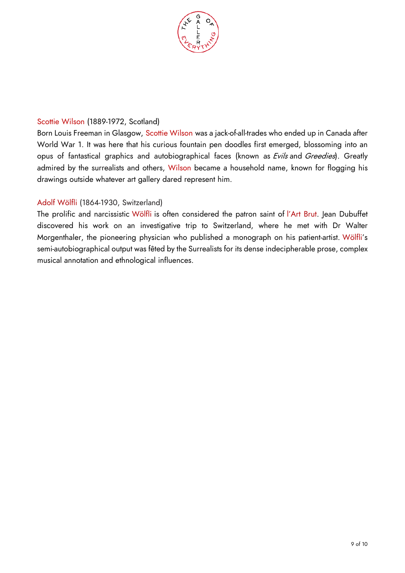

### Scottie Wilson (1889-1972, Scotland)

Born Louis Freeman in Glasgow, Scottie Wilson was a jack-of-all-trades who ended up in Canada after World War 1. It was here that his curious fountain pen doodles first emerged, blossoming into an opus of fantastical graphics and autobiographical faces (known as Evils and Greedies). Greatly admired by the surrealists and others, Wilson became a household name, known for flogging his drawings outside whatever art gallery dared represent him.

# Adolf Wölfli (1864-1930, Switzerland)

The prolific and narcissistic Wölfli is often considered the patron saint of l'Art Brut. Jean Dubuffet discovered his work on an investigative trip to Switzerland, where he met with Dr Walter Morgenthaler, the pioneering physician who published a monograph on his patient-artist. Wölfli's semi-autobiographical output was fêted by the Surrealists for its dense indecipherable prose, complex musical annotation and ethnological influences.